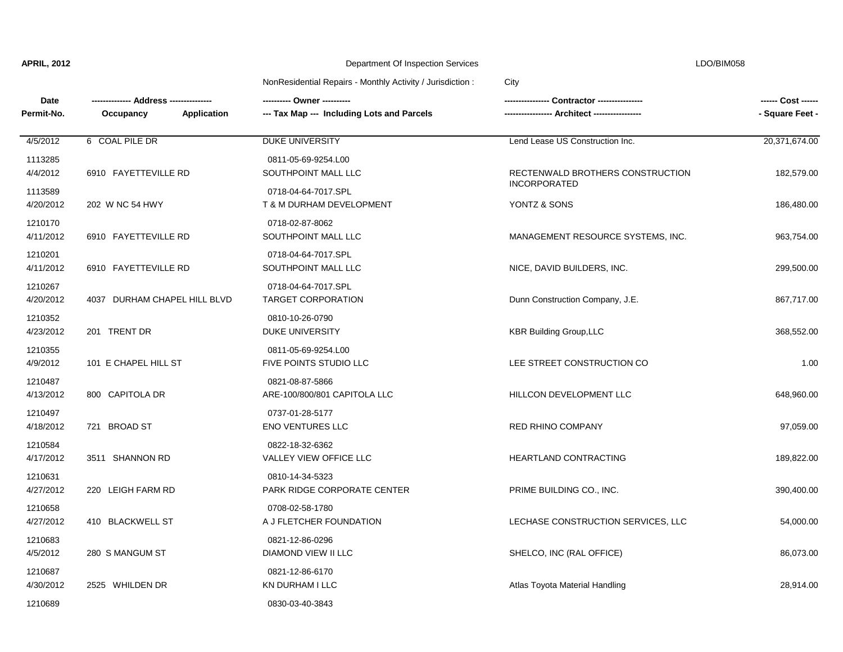| . . |  |  |  |  |
|-----|--|--|--|--|

| <b>Date</b>          |                                 |                                                  | - Contractor ---------------        | ------ Cost ------ |
|----------------------|---------------------------------|--------------------------------------------------|-------------------------------------|--------------------|
| Permit-No.           | Occupancy<br><b>Application</b> | --- Tax Map --- Including Lots and Parcels       |                                     | - Square Feet -    |
| 4/5/2012             | 6 COAL PILE DR                  | DUKE UNIVERSITY                                  | Lend Lease US Construction Inc.     | 20,371,674.00      |
| 1113285<br>4/4/2012  | 6910 FAYETTEVILLE RD            | 0811-05-69-9254.L00<br>SOUTHPOINT MALL LLC       | RECTENWALD BROTHERS CONSTRUCTION    | 182,579.00         |
| 1113589<br>4/20/2012 | 202 W NC 54 HWY                 | 0718-04-64-7017.SPL<br>T & M DURHAM DEVELOPMENT  | <b>INCORPORATED</b><br>YONTZ & SONS | 186,480.00         |
| 1210170<br>4/11/2012 | 6910 FAYETTEVILLE RD            | 0718-02-87-8062<br>SOUTHPOINT MALL LLC           | MANAGEMENT RESOURCE SYSTEMS, INC.   | 963,754.00         |
| 1210201<br>4/11/2012 | 6910 FAYETTEVILLE RD            | 0718-04-64-7017.SPL<br>SOUTHPOINT MALL LLC       | NICE, DAVID BUILDERS, INC.          | 299,500.00         |
| 1210267<br>4/20/2012 | 4037 DURHAM CHAPEL HILL BLVD    | 0718-04-64-7017.SPL<br><b>TARGET CORPORATION</b> | Dunn Construction Company, J.E.     | 867,717.00         |
| 1210352<br>4/23/2012 | 201 TRENT DR                    | 0810-10-26-0790<br><b>DUKE UNIVERSITY</b>        | <b>KBR Building Group, LLC</b>      | 368,552.00         |
| 1210355<br>4/9/2012  | 101 E CHAPEL HILL ST            | 0811-05-69-9254.L00<br>FIVE POINTS STUDIO LLC    | LEE STREET CONSTRUCTION CO          | 1.00               |
| 1210487<br>4/13/2012 | 800 CAPITOLA DR                 | 0821-08-87-5866<br>ARE-100/800/801 CAPITOLA LLC  | HILLCON DEVELOPMENT LLC             | 648,960.00         |
| 1210497<br>4/18/2012 | 721 BROAD ST                    | 0737-01-28-5177<br><b>ENO VENTURES LLC</b>       | RED RHINO COMPANY                   | 97,059.00          |
| 1210584<br>4/17/2012 | 3511 SHANNON RD                 | 0822-18-32-6362<br>VALLEY VIEW OFFICE LLC        | HEARTLAND CONTRACTING               | 189,822.00         |
| 1210631<br>4/27/2012 | 220 LEIGH FARM RD               | 0810-14-34-5323<br>PARK RIDGE CORPORATE CENTER   | PRIME BUILDING CO., INC.            | 390,400.00         |
| 1210658<br>4/27/2012 | 410 BLACKWELL ST                | 0708-02-58-1780<br>A J FLETCHER FOUNDATION       | LECHASE CONSTRUCTION SERVICES, LLC  | 54,000.00          |
| 1210683<br>4/5/2012  | 280 S MANGUM ST                 | 0821-12-86-0296<br>DIAMOND VIEW II LLC           | SHELCO, INC (RAL OFFICE)            | 86,073.00          |
| 1210687<br>4/30/2012 | 2525 WHILDEN DR                 | 0821-12-86-6170<br>KN DURHAM I LLC               | Atlas Toyota Material Handling      | 28,914.00          |
| 1210689              |                                 | 0830-03-40-3843                                  |                                     |                    |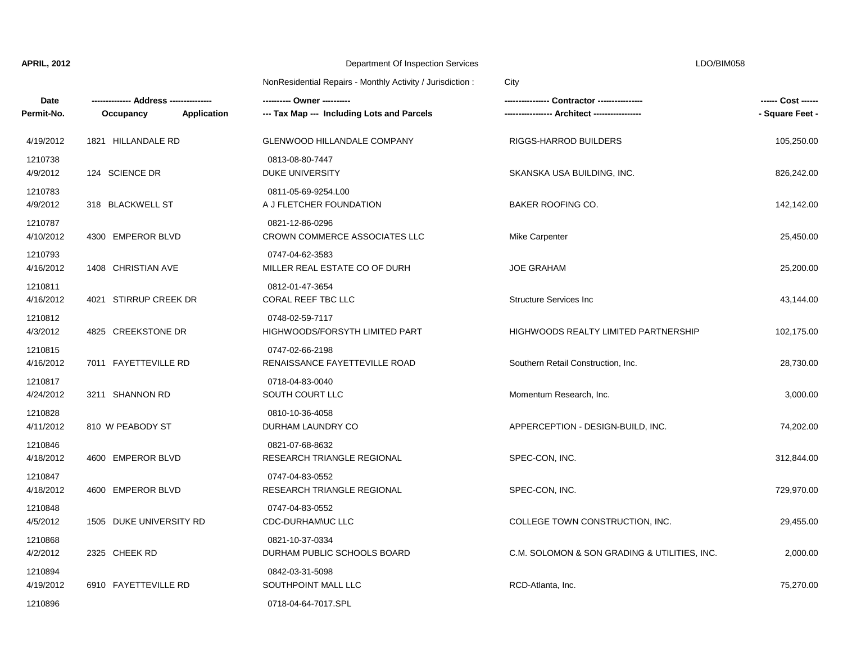| <b>Date</b><br>Permit-No. | --- Address ----------<br>Application<br>Occupancy | --- Tax Map --- Including Lots and Parcels        | Contractor ---------------                   | ------ Cost ------<br>- Square Feet - |
|---------------------------|----------------------------------------------------|---------------------------------------------------|----------------------------------------------|---------------------------------------|
| 4/19/2012                 | 1821 HILLANDALE RD                                 | <b>GLENWOOD HILLANDALE COMPANY</b>                | RIGGS-HARROD BUILDERS                        | 105,250.00                            |
| 1210738<br>4/9/2012       | 124 SCIENCE DR                                     | 0813-08-80-7447<br><b>DUKE UNIVERSITY</b>         | SKANSKA USA BUILDING, INC.                   | 826,242.00                            |
| 1210783<br>4/9/2012       | 318 BLACKWELL ST                                   | 0811-05-69-9254.L00<br>A J FLETCHER FOUNDATION    | <b>BAKER ROOFING CO.</b>                     | 142,142.00                            |
| 1210787<br>4/10/2012      | 4300 EMPEROR BLVD                                  | 0821-12-86-0296<br>CROWN COMMERCE ASSOCIATES LLC  | Mike Carpenter                               | 25,450.00                             |
| 1210793<br>4/16/2012      | 1408 CHRISTIAN AVE                                 | 0747-04-62-3583<br>MILLER REAL ESTATE CO OF DURH  | <b>JOE GRAHAM</b>                            | 25,200.00                             |
| 1210811<br>4/16/2012      | 4021 STIRRUP CREEK DR                              | 0812-01-47-3654<br>CORAL REEF TBC LLC             | <b>Structure Services Inc.</b>               | 43,144.00                             |
| 1210812<br>4/3/2012       | 4825 CREEKSTONE DR                                 | 0748-02-59-7117<br>HIGHWOODS/FORSYTH LIMITED PART | <b>HIGHWOODS REALTY LIMITED PARTNERSHIP</b>  | 102,175.00                            |
| 1210815<br>4/16/2012      | 7011 FAYETTEVILLE RD                               | 0747-02-66-2198<br>RENAISSANCE FAYETTEVILLE ROAD  | Southern Retail Construction, Inc.           | 28,730.00                             |
| 1210817<br>4/24/2012      | 3211 SHANNON RD                                    | 0718-04-83-0040<br><b>SOUTH COURT LLC</b>         | Momentum Research, Inc.                      | 3,000.00                              |
| 1210828<br>4/11/2012      | 810 W PEABODY ST                                   | 0810-10-36-4058<br>DURHAM LAUNDRY CO              | APPERCEPTION - DESIGN-BUILD, INC.            | 74,202.00                             |
| 1210846<br>4/18/2012      | 4600 EMPEROR BLVD                                  | 0821-07-68-8632<br>RESEARCH TRIANGLE REGIONAL     | SPEC-CON, INC.                               | 312,844.00                            |
| 1210847<br>4/18/2012      | 4600 EMPEROR BLVD                                  | 0747-04-83-0552<br>RESEARCH TRIANGLE REGIONAL     | SPEC-CON, INC.                               | 729,970.00                            |
| 1210848<br>4/5/2012       | 1505 DUKE UNIVERSITY RD                            | 0747-04-83-0552<br>CDC-DURHAM\UC LLC              | COLLEGE TOWN CONSTRUCTION, INC.              | 29,455.00                             |
| 1210868<br>4/2/2012       | 2325 CHEEK RD                                      | 0821-10-37-0334<br>DURHAM PUBLIC SCHOOLS BOARD    | C.M. SOLOMON & SON GRADING & UTILITIES, INC. | 2,000.00                              |
| 1210894<br>4/19/2012      | 6910 FAYETTEVILLE RD                               | 0842-03-31-5098<br>SOUTHPOINT MALL LLC            | RCD-Atlanta, Inc.                            | 75,270.00                             |
| 1210896                   |                                                    | 0718-04-64-7017.SPL                               |                                              |                                       |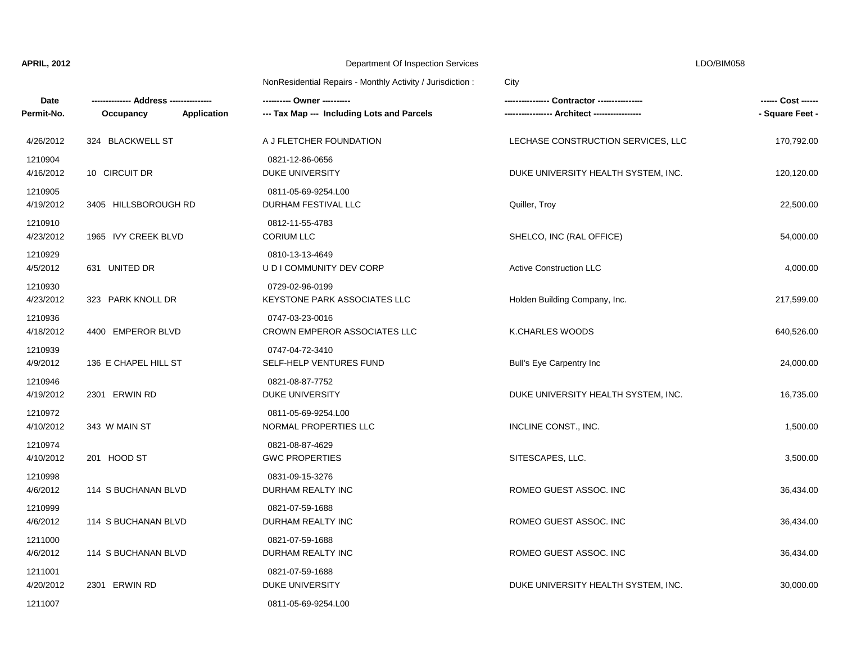| Date<br>Permit-No.   | Application<br>Occupancy | ---------- Owner ----------<br>--- Tax Map --- Including Lots and Parcels |                                     | ------ Cost ------<br>- Square Feet - |
|----------------------|--------------------------|---------------------------------------------------------------------------|-------------------------------------|---------------------------------------|
| 4/26/2012            | 324 BLACKWELL ST         | A J FLETCHER FOUNDATION                                                   | LECHASE CONSTRUCTION SERVICES, LLC  | 170,792.00                            |
| 1210904<br>4/16/2012 | 10 CIRCUIT DR            | 0821-12-86-0656<br>DUKE UNIVERSITY                                        | DUKE UNIVERSITY HEALTH SYSTEM, INC. | 120,120.00                            |
| 1210905<br>4/19/2012 | 3405 HILLSBOROUGH RD     | 0811-05-69-9254.L00<br>DURHAM FESTIVAL LLC                                | Quiller, Troy                       | 22,500.00                             |
| 1210910<br>4/23/2012 | 1965 IVY CREEK BLVD      | 0812-11-55-4783<br><b>CORIUM LLC</b>                                      | SHELCO, INC (RAL OFFICE)            | 54,000.00                             |
| 1210929<br>4/5/2012  | 631 UNITED DR            | 0810-13-13-4649<br>U D I COMMUNITY DEV CORP                               | <b>Active Construction LLC</b>      | 4,000.00                              |
| 1210930<br>4/23/2012 | 323 PARK KNOLL DR        | 0729-02-96-0199<br><b>KEYSTONE PARK ASSOCIATES LLC</b>                    | Holden Building Company, Inc.       | 217,599.00                            |
| 1210936<br>4/18/2012 | 4400 EMPEROR BLVD        | 0747-03-23-0016<br>CROWN EMPEROR ASSOCIATES LLC                           | K.CHARLES WOODS                     | 640,526.00                            |
| 1210939<br>4/9/2012  | 136 E CHAPEL HILL ST     | 0747-04-72-3410<br>SELF-HELP VENTURES FUND                                | Bull's Eye Carpentry Inc            | 24,000.00                             |
| 1210946<br>4/19/2012 | 2301 ERWIN RD            | 0821-08-87-7752<br>DUKE UNIVERSITY                                        | DUKE UNIVERSITY HEALTH SYSTEM, INC. | 16,735.00                             |
| 1210972<br>4/10/2012 | 343 W MAIN ST            | 0811-05-69-9254.L00<br>NORMAL PROPERTIES LLC                              | INCLINE CONST., INC.                | 1,500.00                              |
| 1210974<br>4/10/2012 | 201 HOOD ST              | 0821-08-87-4629<br><b>GWC PROPERTIES</b>                                  | SITESCAPES, LLC.                    | 3,500.00                              |
| 1210998<br>4/6/2012  | 114 S BUCHANAN BLVD      | 0831-09-15-3276<br>DURHAM REALTY INC                                      | ROMEO GUEST ASSOC. INC              | 36,434.00                             |
| 1210999<br>4/6/2012  | 114 S BUCHANAN BLVD      | 0821-07-59-1688<br>DURHAM REALTY INC                                      | ROMEO GUEST ASSOC. INC              | 36,434.00                             |
| 1211000<br>4/6/2012  | 114 S BUCHANAN BLVD      | 0821-07-59-1688<br>DURHAM REALTY INC                                      | ROMEO GUEST ASSOC. INC              | 36,434.00                             |
| 1211001<br>4/20/2012 | 2301 ERWIN RD            | 0821-07-59-1688<br>DUKE UNIVERSITY                                        | DUKE UNIVERSITY HEALTH SYSTEM, INC. | 30,000.00                             |
| 1211007              |                          | 0811-05-69-9254.L00                                                       |                                     |                                       |